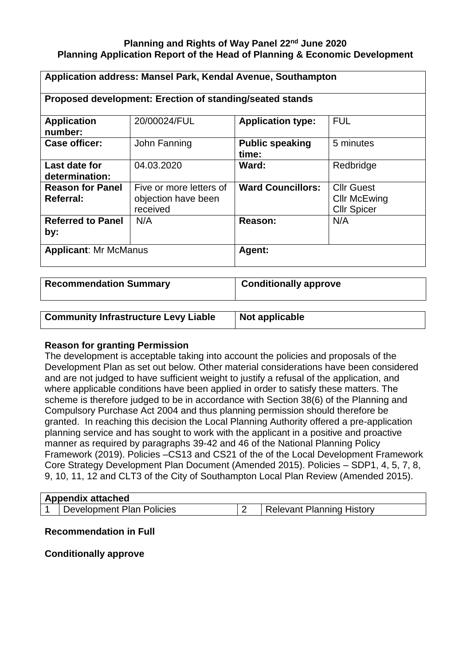## **Planning and Rights of Way Panel 22nd June 2020 Planning Application Report of the Head of Planning & Economic Development**

| Application address: Mansel Park, Kendal Avenue, Southampton |                                                            |                                 |                                                                |  |  |
|--------------------------------------------------------------|------------------------------------------------------------|---------------------------------|----------------------------------------------------------------|--|--|
| Proposed development: Erection of standing/seated stands     |                                                            |                                 |                                                                |  |  |
| <b>Application</b><br>number:                                | 20/00024/FUL                                               | <b>Application type:</b>        | <b>FUL</b>                                                     |  |  |
| <b>Case officer:</b>                                         | John Fanning                                               | <b>Public speaking</b><br>time: | 5 minutes                                                      |  |  |
| Last date for<br>determination:                              | 04.03.2020                                                 | Ward:                           | Redbridge                                                      |  |  |
| <b>Reason for Panel</b><br>Referral:                         | Five or more letters of<br>objection have been<br>received | <b>Ward Councillors:</b>        | <b>Cllr Guest</b><br><b>Cllr McEwing</b><br><b>Cllr Spicer</b> |  |  |
| <b>Referred to Panel</b><br>by:                              | N/A                                                        | Reason:                         | N/A                                                            |  |  |
| <b>Applicant: Mr McManus</b>                                 |                                                            | Agent:                          |                                                                |  |  |

| <b>Recommendation Summary</b>               | <b>Conditionally approve</b> |  |
|---------------------------------------------|------------------------------|--|
|                                             |                              |  |
| <b>Community Infrastructure Levy Liable</b> | Not applicable               |  |

### **Reason for granting Permission**

The development is acceptable taking into account the policies and proposals of the Development Plan as set out below. Other material considerations have been considered and are not judged to have sufficient weight to justify a refusal of the application, and where applicable conditions have been applied in order to satisfy these matters. The scheme is therefore judged to be in accordance with Section 38(6) of the Planning and Compulsory Purchase Act 2004 and thus planning permission should therefore be granted. In reaching this decision the Local Planning Authority offered a pre-application planning service and has sought to work with the applicant in a positive and proactive manner as required by paragraphs 39-42 and 46 of the National Planning Policy Framework (2019). Policies –CS13 and CS21 of the of the Local Development Framework Core Strategy Development Plan Document (Amended 2015). Policies – SDP1, 4, 5, 7, 8, 9, 10, 11, 12 and CLT3 of the City of Southampton Local Plan Review (Amended 2015).

| <b>Appendix attached</b> |                           |  |                                  |  |  |
|--------------------------|---------------------------|--|----------------------------------|--|--|
|                          | Development Plan Policies |  | <b>Relevant Planning History</b> |  |  |

## **Recommendation in Full**

**Conditionally approve**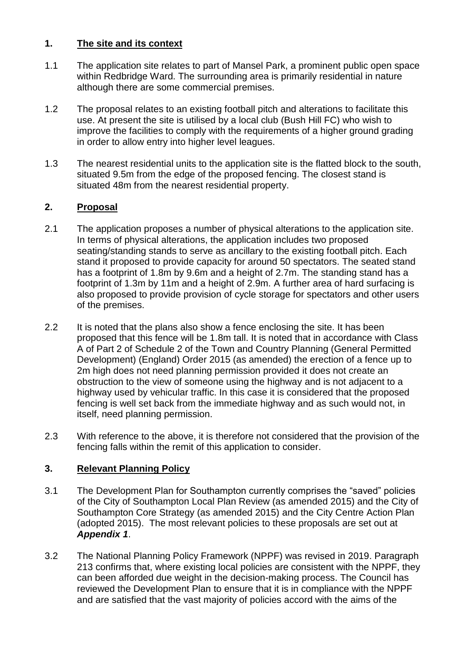## **1. The site and its context**

- 1.1 The application site relates to part of Mansel Park, a prominent public open space within Redbridge Ward. The surrounding area is primarily residential in nature although there are some commercial premises.
- 1.2 The proposal relates to an existing football pitch and alterations to facilitate this use. At present the site is utilised by a local club (Bush Hill FC) who wish to improve the facilities to comply with the requirements of a higher ground grading in order to allow entry into higher level leagues.
- 1.3 The nearest residential units to the application site is the flatted block to the south, situated 9.5m from the edge of the proposed fencing. The closest stand is situated 48m from the nearest residential property.

# **2. Proposal**

- 2.1 The application proposes a number of physical alterations to the application site. In terms of physical alterations, the application includes two proposed seating/standing stands to serve as ancillary to the existing football pitch. Each stand it proposed to provide capacity for around 50 spectators. The seated stand has a footprint of 1.8m by 9.6m and a height of 2.7m. The standing stand has a footprint of 1.3m by 11m and a height of 2.9m. A further area of hard surfacing is also proposed to provide provision of cycle storage for spectators and other users of the premises.
- 2.2 It is noted that the plans also show a fence enclosing the site. It has been proposed that this fence will be 1.8m tall. It is noted that in accordance with Class A of Part 2 of Schedule 2 of the Town and Country Planning (General Permitted Development) (England) Order 2015 (as amended) the erection of a fence up to 2m high does not need planning permission provided it does not create an obstruction to the view of someone using the highway and is not adjacent to a highway used by vehicular traffic. In this case it is considered that the proposed fencing is well set back from the immediate highway and as such would not, in itself, need planning permission.
- 2.3 With reference to the above, it is therefore not considered that the provision of the fencing falls within the remit of this application to consider.

## **3. Relevant Planning Policy**

- 3.1 The Development Plan for Southampton currently comprises the "saved" policies of the City of Southampton Local Plan Review (as amended 2015) and the City of Southampton Core Strategy (as amended 2015) and the City Centre Action Plan (adopted 2015). The most relevant policies to these proposals are set out at *Appendix 1*.
- 3.2 The National Planning Policy Framework (NPPF) was revised in 2019. Paragraph 213 confirms that, where existing local policies are consistent with the NPPF, they can been afforded due weight in the decision-making process. The Council has reviewed the Development Plan to ensure that it is in compliance with the NPPF and are satisfied that the vast majority of policies accord with the aims of the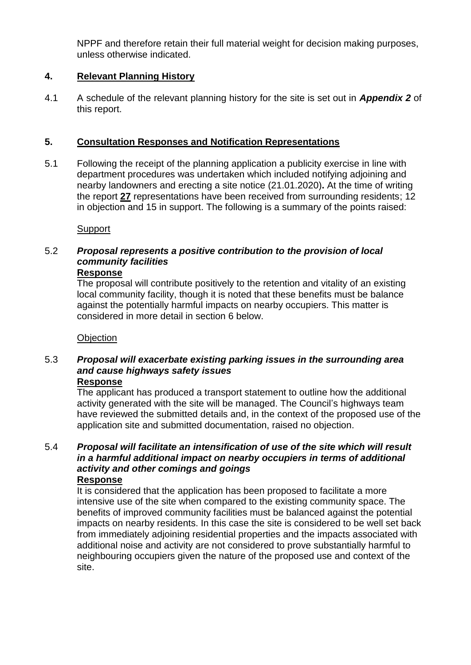NPPF and therefore retain their full material weight for decision making purposes, unless otherwise indicated.

## **4. Relevant Planning History**

4.1 A schedule of the relevant planning history for the site is set out in *Appendix 2* of this report.

## **5. Consultation Responses and Notification Representations**

5.1 Following the receipt of the planning application a publicity exercise in line with department procedures was undertaken which included notifying adjoining and nearby landowners and erecting a site notice (21.01.2020)**.** At the time of writing the report **27** representations have been received from surrounding residents; 12 in objection and 15 in support. The following is a summary of the points raised:

**Support** 

# 5.2 *Proposal represents a positive contribution to the provision of local community facilities*

### **Response**

The proposal will contribute positively to the retention and vitality of an existing local community facility, though it is noted that these benefits must be balance against the potentially harmful impacts on nearby occupiers. This matter is considered in more detail in section 6 below.

### **Objection**

#### 5.3 *Proposal will exacerbate existing parking issues in the surrounding area and cause highways safety issues* **Response**

The applicant has produced a transport statement to outline how the additional activity generated with the site will be managed. The Council's highways team have reviewed the submitted details and, in the context of the proposed use of the application site and submitted documentation, raised no objection.

#### 5.4 *Proposal will facilitate an intensification of use of the site which will result in a harmful additional impact on nearby occupiers in terms of additional activity and other comings and goings* **Response**

### It is considered that the application has been proposed to facilitate a more intensive use of the site when compared to the existing community space. The benefits of improved community facilities must be balanced against the potential impacts on nearby residents. In this case the site is considered to be well set back from immediately adjoining residential properties and the impacts associated with additional noise and activity are not considered to prove substantially harmful to neighbouring occupiers given the nature of the proposed use and context of the site.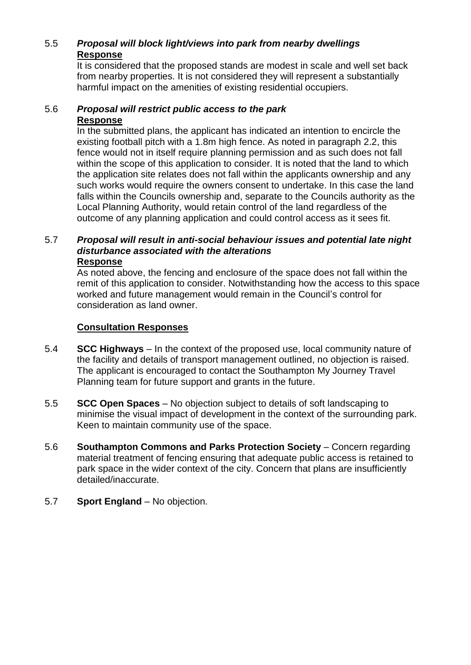# 5.5 *Proposal will block light/views into park from nearby dwellings* **Response**

It is considered that the proposed stands are modest in scale and well set back from nearby properties. It is not considered they will represent a substantially harmful impact on the amenities of existing residential occupiers.

#### 5.6 *Proposal will restrict public access to the park* **Response**

In the submitted plans, the applicant has indicated an intention to encircle the existing football pitch with a 1.8m high fence. As noted in paragraph 2.2, this fence would not in itself require planning permission and as such does not fall within the scope of this application to consider. It is noted that the land to which the application site relates does not fall within the applicants ownership and any such works would require the owners consent to undertake. In this case the land falls within the Councils ownership and, separate to the Councils authority as the Local Planning Authority, would retain control of the land regardless of the outcome of any planning application and could control access as it sees fit.

#### 5.7 *Proposal will result in anti-social behaviour issues and potential late night disturbance associated with the alterations* **Response**

As noted above, the fencing and enclosure of the space does not fall within the remit of this application to consider. Notwithstanding how the access to this space worked and future management would remain in the Council's control for consideration as land owner.

## **Consultation Responses**

- 5.4 **SCC Highways**  In the context of the proposed use, local community nature of the facility and details of transport management outlined, no objection is raised. The applicant is encouraged to contact the Southampton My Journey Travel Planning team for future support and grants in the future.
- 5.5 **SCC Open Spaces** No objection subject to details of soft landscaping to minimise the visual impact of development in the context of the surrounding park. Keen to maintain community use of the space.
- 5.6 **Southampton Commons and Parks Protection Society** Concern regarding material treatment of fencing ensuring that adequate public access is retained to park space in the wider context of the city. Concern that plans are insufficiently detailed/inaccurate.
- 5.7 **Sport England** No objection.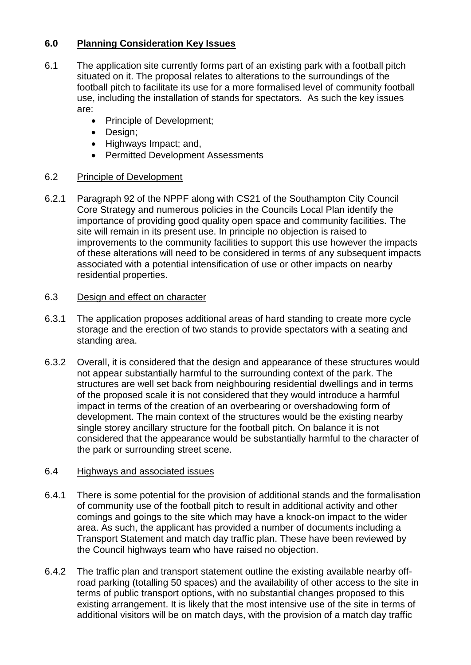## **6.0 Planning Consideration Key Issues**

- 6.1 The application site currently forms part of an existing park with a football pitch situated on it. The proposal relates to alterations to the surroundings of the football pitch to facilitate its use for a more formalised level of community football use, including the installation of stands for spectators. As such the key issues are:
	- Principle of Development;
	- Design;
	- Highways Impact; and,
	- Permitted Development Assessments

## 6.2 Principle of Development

6.2.1 Paragraph 92 of the NPPF along with CS21 of the Southampton City Council Core Strategy and numerous policies in the Councils Local Plan identify the importance of providing good quality open space and community facilities. The site will remain in its present use. In principle no objection is raised to improvements to the community facilities to support this use however the impacts of these alterations will need to be considered in terms of any subsequent impacts associated with a potential intensification of use or other impacts on nearby residential properties.

## 6.3 Design and effect on character

- 6.3.1 The application proposes additional areas of hard standing to create more cycle storage and the erection of two stands to provide spectators with a seating and standing area.
- 6.3.2 Overall, it is considered that the design and appearance of these structures would not appear substantially harmful to the surrounding context of the park. The structures are well set back from neighbouring residential dwellings and in terms of the proposed scale it is not considered that they would introduce a harmful impact in terms of the creation of an overbearing or overshadowing form of development. The main context of the structures would be the existing nearby single storey ancillary structure for the football pitch. On balance it is not considered that the appearance would be substantially harmful to the character of the park or surrounding street scene.

## 6.4 Highways and associated issues

- 6.4.1 There is some potential for the provision of additional stands and the formalisation of community use of the football pitch to result in additional activity and other comings and goings to the site which may have a knock-on impact to the wider area. As such, the applicant has provided a number of documents including a Transport Statement and match day traffic plan. These have been reviewed by the Council highways team who have raised no objection.
- 6.4.2 The traffic plan and transport statement outline the existing available nearby offroad parking (totalling 50 spaces) and the availability of other access to the site in terms of public transport options, with no substantial changes proposed to this existing arrangement. It is likely that the most intensive use of the site in terms of additional visitors will be on match days, with the provision of a match day traffic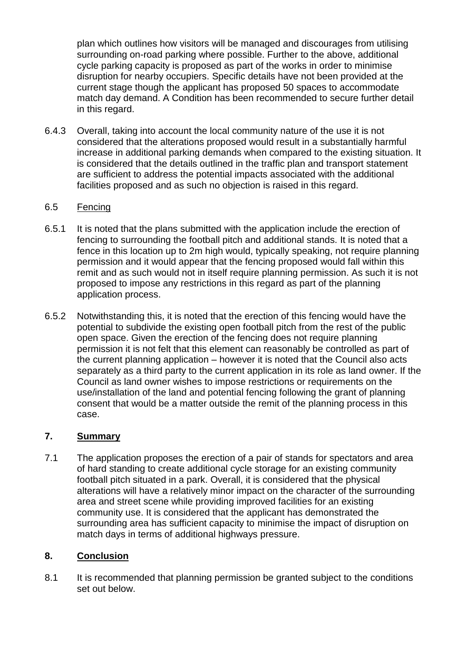plan which outlines how visitors will be managed and discourages from utilising surrounding on-road parking where possible. Further to the above, additional cycle parking capacity is proposed as part of the works in order to minimise disruption for nearby occupiers. Specific details have not been provided at the current stage though the applicant has proposed 50 spaces to accommodate match day demand. A Condition has been recommended to secure further detail in this regard.

6.4.3 Overall, taking into account the local community nature of the use it is not considered that the alterations proposed would result in a substantially harmful increase in additional parking demands when compared to the existing situation. It is considered that the details outlined in the traffic plan and transport statement are sufficient to address the potential impacts associated with the additional facilities proposed and as such no objection is raised in this regard.

## 6.5 Fencing

- 6.5.1 It is noted that the plans submitted with the application include the erection of fencing to surrounding the football pitch and additional stands. It is noted that a fence in this location up to 2m high would, typically speaking, not require planning permission and it would appear that the fencing proposed would fall within this remit and as such would not in itself require planning permission. As such it is not proposed to impose any restrictions in this regard as part of the planning application process.
- 6.5.2 Notwithstanding this, it is noted that the erection of this fencing would have the potential to subdivide the existing open football pitch from the rest of the public open space. Given the erection of the fencing does not require planning permission it is not felt that this element can reasonably be controlled as part of the current planning application – however it is noted that the Council also acts separately as a third party to the current application in its role as land owner. If the Council as land owner wishes to impose restrictions or requirements on the use/installation of the land and potential fencing following the grant of planning consent that would be a matter outside the remit of the planning process in this case.

## **7. Summary**

7.1 The application proposes the erection of a pair of stands for spectators and area of hard standing to create additional cycle storage for an existing community football pitch situated in a park. Overall, it is considered that the physical alterations will have a relatively minor impact on the character of the surrounding area and street scene while providing improved facilities for an existing community use. It is considered that the applicant has demonstrated the surrounding area has sufficient capacity to minimise the impact of disruption on match days in terms of additional highways pressure.

## **8. Conclusion**

8.1 It is recommended that planning permission be granted subject to the conditions set out below.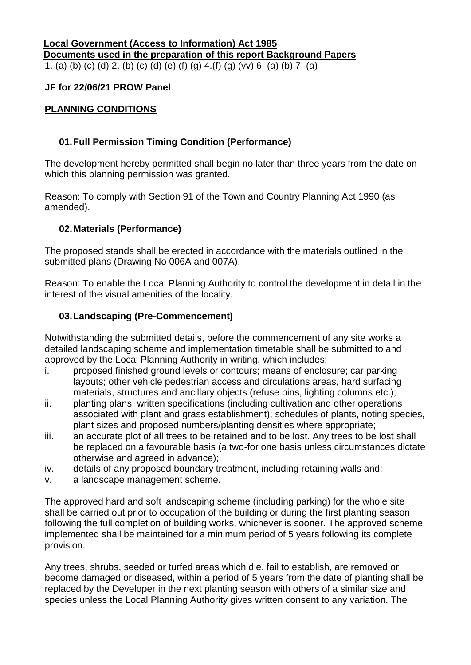### **Local Government (Access to Information) Act 1985 Documents used in the preparation of this report Background Papers** 1. (a) (b) (c) (d) 2. (b) (c) (d) (e) (f) (g) 4.(f) (g) (vv) 6. (a) (b) 7. (a)

## **JF for 22/06/21 PROW Panel**

## **PLANNING CONDITIONS**

## **01.Full Permission Timing Condition (Performance)**

The development hereby permitted shall begin no later than three years from the date on which this planning permission was granted.

Reason: To comply with Section 91 of the Town and Country Planning Act 1990 (as amended).

### **02.Materials (Performance)**

The proposed stands shall be erected in accordance with the materials outlined in the submitted plans (Drawing No 006A and 007A).

Reason: To enable the Local Planning Authority to control the development in detail in the interest of the visual amenities of the locality.

### **03.Landscaping (Pre-Commencement)**

Notwithstanding the submitted details, before the commencement of any site works a detailed landscaping scheme and implementation timetable shall be submitted to and approved by the Local Planning Authority in writing, which includes:

- i. proposed finished ground levels or contours; means of enclosure; car parking layouts; other vehicle pedestrian access and circulations areas, hard surfacing materials, structures and ancillary objects (refuse bins, lighting columns etc.);
- ii. planting plans; written specifications (including cultivation and other operations associated with plant and grass establishment); schedules of plants, noting species, plant sizes and proposed numbers/planting densities where appropriate;
- iii. an accurate plot of all trees to be retained and to be lost. Any trees to be lost shall be replaced on a favourable basis (a two-for one basis unless circumstances dictate otherwise and agreed in advance);
- iv. details of any proposed boundary treatment, including retaining walls and;
- v. a landscape management scheme.

The approved hard and soft landscaping scheme (including parking) for the whole site shall be carried out prior to occupation of the building or during the first planting season following the full completion of building works, whichever is sooner. The approved scheme implemented shall be maintained for a minimum period of 5 years following its complete provision.

Any trees, shrubs, seeded or turfed areas which die, fail to establish, are removed or become damaged or diseased, within a period of 5 years from the date of planting shall be replaced by the Developer in the next planting season with others of a similar size and species unless the Local Planning Authority gives written consent to any variation. The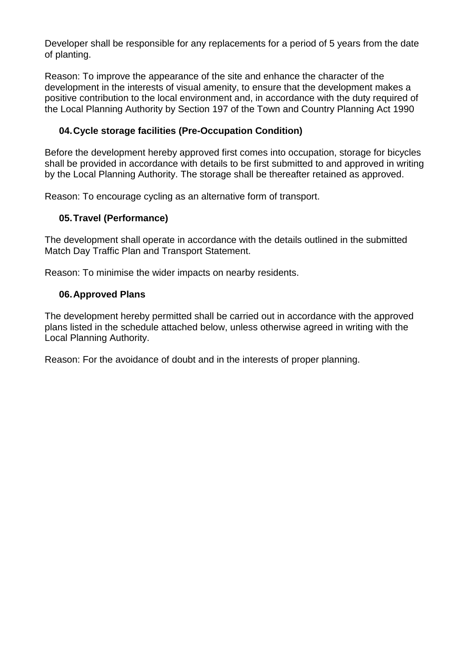Developer shall be responsible for any replacements for a period of 5 years from the date of planting.

Reason: To improve the appearance of the site and enhance the character of the development in the interests of visual amenity, to ensure that the development makes a positive contribution to the local environment and, in accordance with the duty required of the Local Planning Authority by Section 197 of the Town and Country Planning Act 1990

## **04.Cycle storage facilities (Pre-Occupation Condition)**

Before the development hereby approved first comes into occupation, storage for bicycles shall be provided in accordance with details to be first submitted to and approved in writing by the Local Planning Authority. The storage shall be thereafter retained as approved.

Reason: To encourage cycling as an alternative form of transport.

### **05.Travel (Performance)**

The development shall operate in accordance with the details outlined in the submitted Match Day Traffic Plan and Transport Statement.

Reason: To minimise the wider impacts on nearby residents.

### **06.Approved Plans**

The development hereby permitted shall be carried out in accordance with the approved plans listed in the schedule attached below, unless otherwise agreed in writing with the Local Planning Authority.

Reason: For the avoidance of doubt and in the interests of proper planning.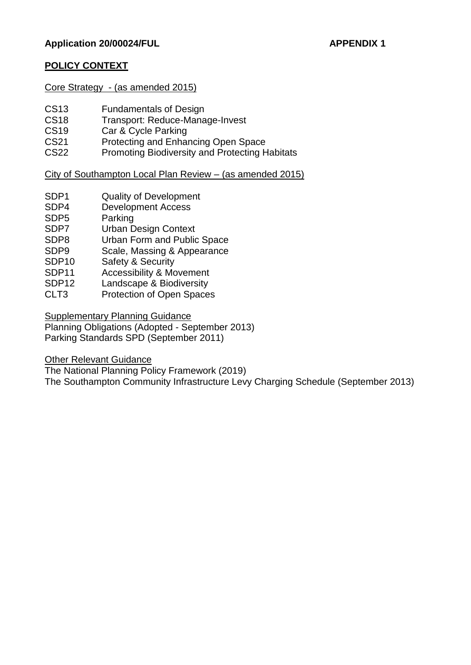## **POLICY CONTEXT**

Core Strategy - (as amended 2015)

- CS13 Fundamentals of Design
- CS18 Transport: Reduce-Manage-Invest
- CS19 Car & Cycle Parking
- CS21 Protecting and Enhancing Open Space
- CS22 Promoting Biodiversity and Protecting Habitats

## City of Southampton Local Plan Review – (as amended 2015)

- SDP1 Quality of Development
- SDP4 Development Access
- SDP5 Parking
- SDP7 Urban Design Context
- SDP8 Urban Form and Public Space
- SDP9 Scale, Massing & Appearance
- SDP10 Safety & Security
- SDP11 Accessibility & Movement
- SDP12 Landscape & Biodiversity
- CLT3 Protection of Open Spaces

Supplementary Planning Guidance

Planning Obligations (Adopted - September 2013) Parking Standards SPD (September 2011)

Other Relevant Guidance

The National Planning Policy Framework (2019)

The Southampton Community Infrastructure Levy Charging Schedule (September 2013)